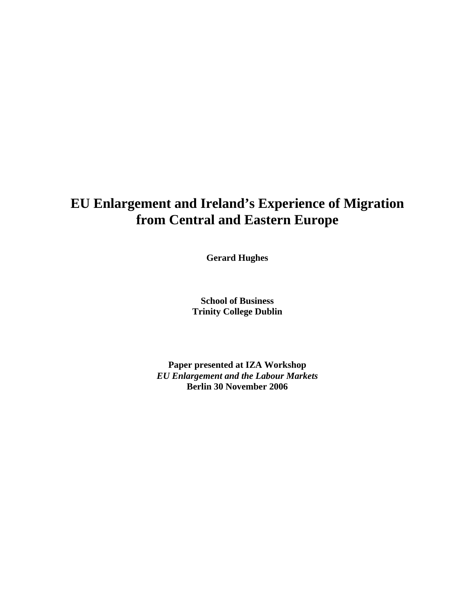# **EU Enlargement and Ireland's Experience of Migration from Central and Eastern Europe**

**Gerard Hughes** 

**School of Business Trinity College Dublin** 

**Paper presented at IZA Workshop**  *EU Enlargement and the Labour Markets*  **Berlin 30 November 2006**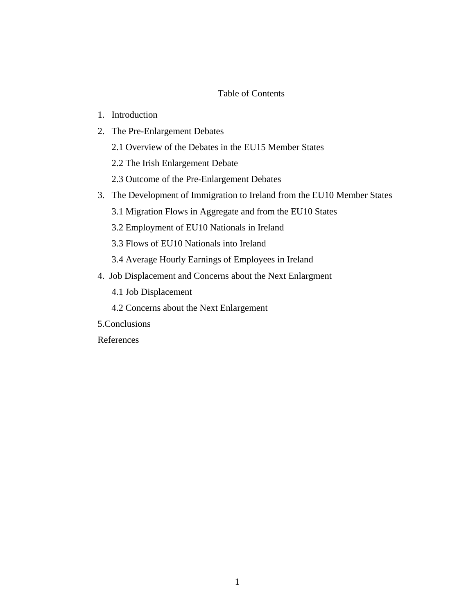## Table of Contents

- 1. Introduction
- 2. The Pre-Enlargement Debates
	- 2.1 Overview of the Debates in the EU15 Member States
	- 2.2 The Irish Enlargement Debate
	- 2.3 Outcome of the Pre-Enlargement Debates
- 3. The Development of Immigration to Ireland from the EU10 Member States
	- 3.1 Migration Flows in Aggregate and from the EU10 States
	- 3.2 Employment of EU10 Nationals in Ireland
	- 3.3 Flows of EU10 Nationals into Ireland
	- 3.4 Average Hourly Earnings of Employees in Ireland
- 4. Job Displacement and Concerns about the Next Enlargment
	- 4.1 Job Displacement
	- 4.2 Concerns about the Next Enlargement
- 5.Conclusions
- References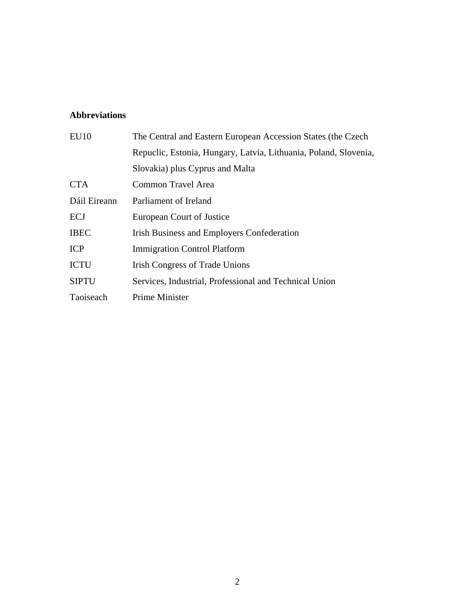## **Abbreviations**

| EU10         | The Central and Eastern European Accession States (the Czech     |  |
|--------------|------------------------------------------------------------------|--|
|              | Repuclic, Estonia, Hungary, Latvia, Lithuania, Poland, Slovenia, |  |
|              | Slovakia) plus Cyprus and Malta                                  |  |
| <b>CTA</b>   | Common Travel Area                                               |  |
| Dáil Eireann | Parliament of Ireland                                            |  |
| <b>ECJ</b>   | European Court of Justice                                        |  |
| <b>IBEC</b>  | <b>Irish Business and Employers Confederation</b>                |  |
| <b>ICP</b>   | <b>Immigration Control Platform</b>                              |  |
| <b>ICTU</b>  | <b>Irish Congress of Trade Unions</b>                            |  |
| <b>SIPTU</b> | Services, Industrial, Professional and Technical Union           |  |
| Taoiseach    | <b>Prime Minister</b>                                            |  |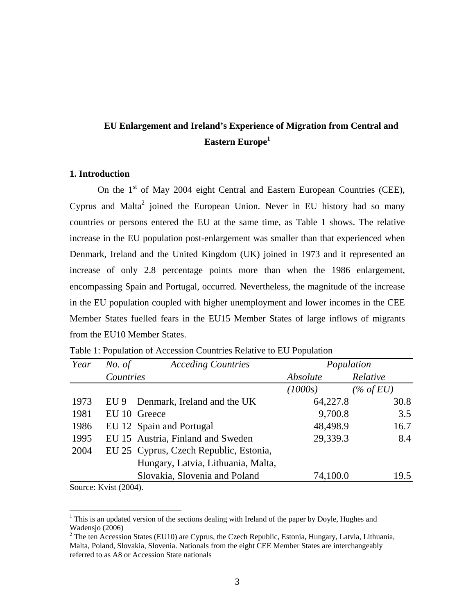# **EU Enlargement and Ireland's Experience of Migration from Central and Eastern Europe[1](#page-3-0)**

## **1. Introduction**

On the  $1<sup>st</sup>$  of May 2004 eight Central and Eastern European Countries (CEE), Cyprus and Malta<sup>[2](#page-3-1)</sup> joined the European Union. Never in EU history had so many countries or persons entered the EU at the same time, as Table 1 shows. The relative increase in the EU population post-enlargement was smaller than that experienced when Denmark, Ireland and the United Kingdom (UK) joined in 1973 and it represented an increase of only 2.8 percentage points more than when the 1986 enlargement, encompassing Spain and Portugal, occurred. Nevertheless, the magnitude of the increase in the EU population coupled with higher unemployment and lower incomes in the CEE Member States fuelled fears in the EU15 Member States of large inflows of migrants from the EU10 Member States.

| Year | No. of    | <b>Acceding Countries</b>              | Population |              |
|------|-----------|----------------------------------------|------------|--------------|
|      | Countries |                                        | Absolute   | Relative     |
|      |           |                                        | (1000s)    | $(\%$ of EU) |
| 1973 | EU 9      | Denmark, Ireland and the UK            | 64,227.8   | 30.8         |
| 1981 |           | EU 10 Greece                           | 9,700.8    | 3.5          |
| 1986 |           | EU 12 Spain and Portugal               | 48,498.9   | 16.7         |
| 1995 |           | EU 15 Austria, Finland and Sweden      | 29,339.3   | 8.4          |
| 2004 |           | EU 25 Cyprus, Czech Republic, Estonia, |            |              |
|      |           | Hungary, Latvia, Lithuania, Malta,     |            |              |
|      |           | Slovakia, Slovenia and Poland          | 74,100.0   | 19.5         |

Table 1: Population of Accession Countries Relative to EU Population

Source: Kvist (2004).

 $\overline{a}$ 

<span id="page-3-0"></span> $1$  This is an updated version of the sections dealing with Ireland of the paper by Doyle, Hughes and Wadensjo  $(2006)$ 

<span id="page-3-1"></span><sup>&</sup>lt;sup>2</sup> The ten Accession States (EU10) are Cyprus, the Czech Republic, Estonia, Hungary, Latvia, Lithuania, Malta, Poland, Slovakia, Slovenia. Nationals from the eight CEE Member States are interchangeably referred to as A8 or Accession State nationals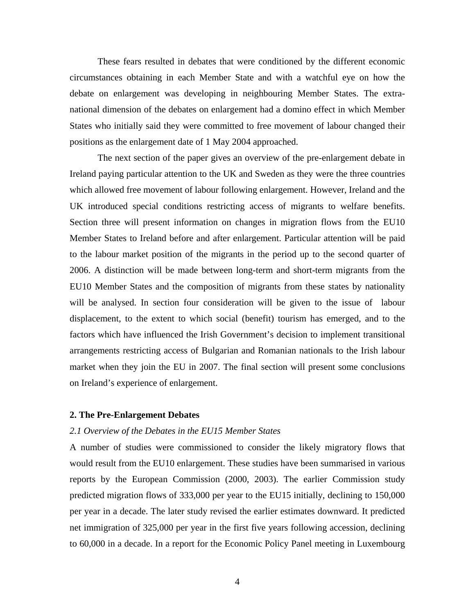These fears resulted in debates that were conditioned by the different economic circumstances obtaining in each Member State and with a watchful eye on how the debate on enlargement was developing in neighbouring Member States. The extranational dimension of the debates on enlargement had a domino effect in which Member States who initially said they were committed to free movement of labour changed their positions as the enlargement date of 1 May 2004 approached.

The next section of the paper gives an overview of the pre-enlargement debate in Ireland paying particular attention to the UK and Sweden as they were the three countries which allowed free movement of labour following enlargement. However, Ireland and the UK introduced special conditions restricting access of migrants to welfare benefits. Section three will present information on changes in migration flows from the EU10 Member States to Ireland before and after enlargement. Particular attention will be paid to the labour market position of the migrants in the period up to the second quarter of 2006. A distinction will be made between long-term and short-term migrants from the EU10 Member States and the composition of migrants from these states by nationality will be analysed. In section four consideration will be given to the issue of labour displacement, to the extent to which social (benefit) tourism has emerged, and to the factors which have influenced the Irish Government's decision to implement transitional arrangements restricting access of Bulgarian and Romanian nationals to the Irish labour market when they join the EU in 2007. The final section will present some conclusions on Ireland's experience of enlargement.

#### **2. The Pre-Enlargement Debates**

## *2.1 Overview of the Debates in the EU15 Member States*

A number of studies were commissioned to consider the likely migratory flows that would result from the EU10 enlargement. These studies have been summarised in various reports by the European Commission (2000, 2003). The earlier Commission study predicted migration flows of 333,000 per year to the EU15 initially, declining to 150,000 per year in a decade. The later study revised the earlier estimates downward. It predicted net immigration of 325,000 per year in the first five years following accession, declining to 60,000 in a decade. In a report for the Economic Policy Panel meeting in Luxembourg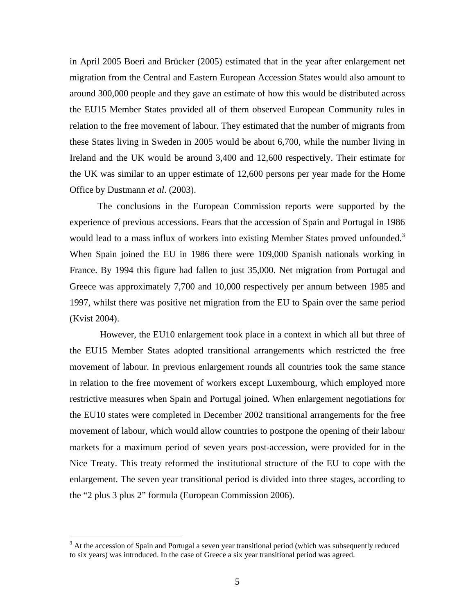in April 2005 Boeri and Brücker (2005) estimated that in the year after enlargement net migration from the Central and Eastern European Accession States would also amount to around 300,000 people and they gave an estimate of how this would be distributed across the EU15 Member States provided all of them observed European Community rules in relation to the free movement of labour. They estimated that the number of migrants from these States living in Sweden in 2005 would be about 6,700, while the number living in Ireland and the UK would be around 3,400 and 12,600 respectively. Their estimate for the UK was similar to an upper estimate of 12,600 persons per year made for the Home Office by Dustmann *et al*. (2003).

The conclusions in the European Commission reports were supported by the experience of previous accessions. Fears that the accession of Spain and Portugal in 1986 would lead to a mass influx of workers into existing Member States proved unfounded.<sup>3</sup> When Spain joined the EU in 1986 there were 109,000 Spanish nationals working in France. By 1994 this figure had fallen to just 35,000. Net migration from Portugal and Greece was approximately 7,700 and 10,000 respectively per annum between 1985 and 1997, whilst there was positive net migration from the EU to Spain over the same period (Kvist 2004).

However, the EU10 enlargement took place in a context in which all but three of the EU15 Member States adopted transitional arrangements which restricted the free movement of labour. In previous enlargement rounds all countries took the same stance in relation to the free movement of workers except Luxembourg, which employed more restrictive measures when Spain and Portugal joined. When enlargement negotiations for the EU10 states were completed in December 2002 transitional arrangements for the free movement of labour, which would allow countries to postpone the opening of their labour markets for a maximum period of seven years post-accession, were provided for in the Nice Treaty. This treaty reformed the institutional structure of the EU to cope with the enlargement. The seven year transitional period is divided into three stages, according to the "2 plus 3 plus 2" formula (European Commission 2006).

 $\overline{a}$ 

<span id="page-5-0"></span><sup>&</sup>lt;sup>3</sup> At the accession of Spain and Portugal a seven year transitional period (which was subsequently reduced to six years) was introduced. In the case of Greece a six year transitional period was agreed.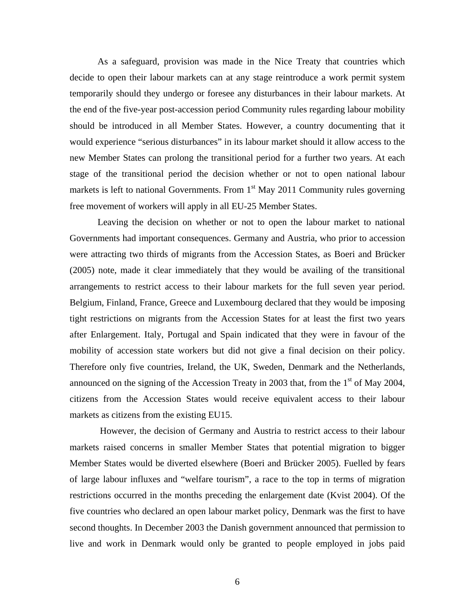As a safeguard, provision was made in the Nice Treaty that countries which decide to open their labour markets can at any stage reintroduce a work permit system temporarily should they undergo or foresee any disturbances in their labour markets. At the end of the five-year post-accession period Community rules regarding labour mobility should be introduced in all Member States. However, a country documenting that it would experience "serious disturbances" in its labour market should it allow access to the new Member States can prolong the transitional period for a further two years. At each stage of the transitional period the decision whether or not to open national labour markets is left to national Governments. From  $1<sup>st</sup>$  May 2011 Community rules governing free movement of workers will apply in all EU-25 Member States.

Leaving the decision on whether or not to open the labour market to national Governments had important consequences. Germany and Austria, who prior to accession were attracting two thirds of migrants from the Accession States, as Boeri and Brücker (2005) note, made it clear immediately that they would be availing of the transitional arrangements to restrict access to their labour markets for the full seven year period. Belgium, Finland, France, Greece and Luxembourg declared that they would be imposing tight restrictions on migrants from the Accession States for at least the first two years after Enlargement. Italy, Portugal and Spain indicated that they were in favour of the mobility of accession state workers but did not give a final decision on their policy. Therefore only five countries, Ireland, the UK, Sweden, Denmark and the Netherlands, announced on the signing of the Accession Treaty in 2003 that, from the  $1<sup>st</sup>$  of May 2004, citizens from the Accession States would receive equivalent access to their labour markets as citizens from the existing EU15.

However, the decision of Germany and Austria to restrict access to their labour markets raised concerns in smaller Member States that potential migration to bigger Member States would be diverted elsewhere (Boeri and Brücker 2005). Fuelled by fears of large labour influxes and "welfare tourism", a race to the top in terms of migration restrictions occurred in the months preceding the enlargement date (Kvist 2004). Of the five countries who declared an open labour market policy, Denmark was the first to have second thoughts. In December 2003 the Danish government announced that permission to live and work in Denmark would only be granted to people employed in jobs paid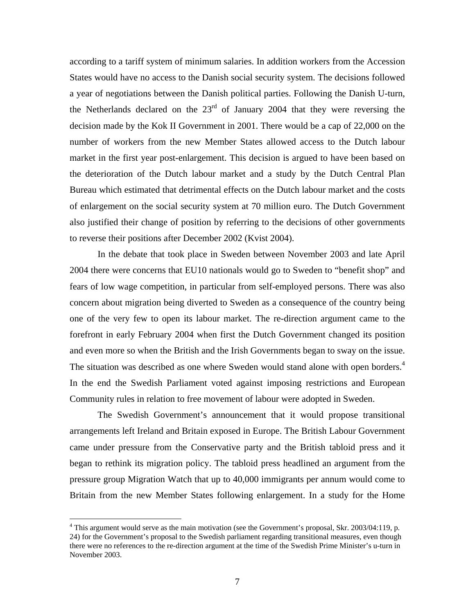according to a tariff system of minimum salaries. In addition workers from the Accession States would have no access to the Danish social security system. The decisions followed a year of negotiations between the Danish political parties. Following the Danish U-turn, the Netherlands declared on the  $23<sup>rd</sup>$  of January 2004 that they were reversing the decision made by the Kok II Government in 2001. There would be a cap of 22,000 on the number of workers from the new Member States allowed access to the Dutch labour market in the first year post-enlargement. This decision is argued to have been based on the deterioration of the Dutch labour market and a study by the Dutch Central Plan Bureau which estimated that detrimental effects on the Dutch labour market and the costs of enlargement on the social security system at 70 million euro. The Dutch Government also justified their change of position by referring to the decisions of other governments to reverse their positions after December 2002 (Kvist 2004).

In the debate that took place in Sweden between November 2003 and late April 2004 there were concerns that EU10 nationals would go to Sweden to "benefit shop" and fears of low wage competition, in particular from self-employed persons. There was also concern about migration being diverted to Sweden as a consequence of the country being one of the very few to open its labour market. The re-direction argument came to the forefront in early February 2004 when first the Dutch Government changed its position and even more so when the British and the Irish Governments began to sway on the issue. The situation was described as one where Sweden would stand alone with open borders.<sup>4</sup> In the end the Swedish Parliament voted against imposing restrictions and European Community rules in relation to free movement of labour were adopted in Sweden.

The Swedish Government's announcement that it would propose transitional arrangements left Ireland and Britain exposed in Europe. The British Labour Government came under pressure from the Conservative party and the British tabloid press and it began to rethink its migration policy. The tabloid press headlined an argument from the pressure group Migration Watch that up to 40,000 immigrants per annum would come to Britain from the new Member States following enlargement. In a study for the Home

 $\overline{a}$ 

<span id="page-7-0"></span> $4$  This argument would serve as the main motivation (see the Government's proposal, Skr. 2003/04:119, p. 24) for the Government's proposal to the Swedish parliament regarding transitional measures, even though there were no references to the re-direction argument at the time of the Swedish Prime Minister's u-turn in November 2003.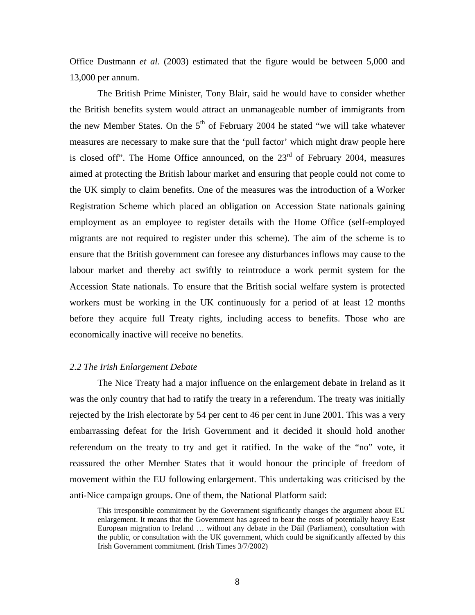Office Dustmann *et al*. (2003) estimated that the figure would be between 5,000 and 13,000 per annum.

The British Prime Minister, Tony Blair, said he would have to consider whether the British benefits system would attract an unmanageable number of immigrants from the new Member States. On the  $5<sup>th</sup>$  of February 2004 he stated "we will take whatever measures are necessary to make sure that the 'pull factor' which might draw people here is closed off". The Home Office announced, on the  $23<sup>rd</sup>$  of February 2004, measures aimed at protecting the British labour market and ensuring that people could not come to the UK simply to claim benefits. One of the measures was the introduction of a Worker Registration Scheme which placed an obligation on Accession State nationals gaining employment as an employee to register details with the Home Office (self-employed migrants are not required to register under this scheme). The aim of the scheme is to ensure that the British government can foresee any disturbances inflows may cause to the labour market and thereby act swiftly to reintroduce a work permit system for the Accession State nationals. To ensure that the British social welfare system is protected workers must be working in the UK continuously for a period of at least 12 months before they acquire full Treaty rights, including access to benefits. Those who are economically inactive will receive no benefits.

## *2.2 The Irish Enlargement Debate*

The Nice Treaty had a major influence on the enlargement debate in Ireland as it was the only country that had to ratify the treaty in a referendum. The treaty was initially rejected by the Irish electorate by 54 per cent to 46 per cent in June 2001. This was a very embarrassing defeat for the Irish Government and it decided it should hold another referendum on the treaty to try and get it ratified. In the wake of the "no" vote, it reassured the other Member States that it would honour the principle of freedom of movement within the EU following enlargement. This undertaking was criticised by the anti-Nice campaign groups. One of them, the National Platform said:

This irresponsible commitment by the Government significantly changes the argument about EU enlargement. It means that the Government has agreed to bear the costs of potentially heavy East European migration to Ireland … without any debate in the Dáil (Parliament), consultation with the public, or consultation with the UK government, which could be significantly affected by this Irish Government commitment. (Irish Times 3/7/2002)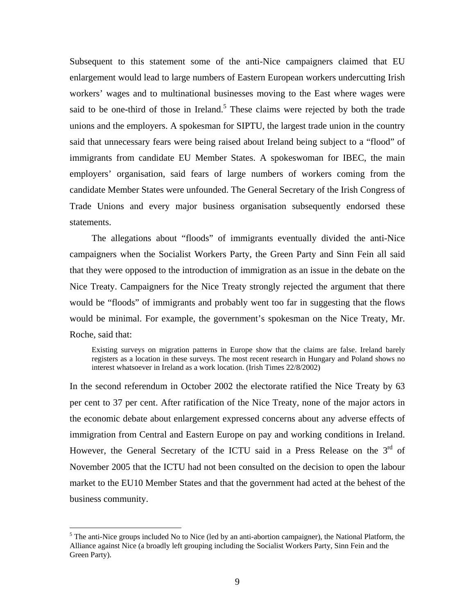Subsequent to this statement some of the anti-Nice campaigners claimed that EU enlargement would lead to large numbers of Eastern European workers undercutting Irish workers' wages and to multinational businesses moving to the East where wages were said to be one-third of those in Ireland.<sup>[5](#page-9-0)</sup> These claims were rejected by both the trade unions and the employers. A spokesman for SIPTU, the largest trade union in the country said that unnecessary fears were being raised about Ireland being subject to a "flood" of immigrants from candidate EU Member States. A spokeswoman for IBEC, the main employers' organisation, said fears of large numbers of workers coming from the candidate Member States were unfounded. The General Secretary of the Irish Congress of Trade Unions and every major business organisation subsequently endorsed these statements.

The allegations about "floods" of immigrants eventually divided the anti-Nice campaigners when the Socialist Workers Party, the Green Party and Sinn Fein all said that they were opposed to the introduction of immigration as an issue in the debate on the Nice Treaty. Campaigners for the Nice Treaty strongly rejected the argument that there would be "floods" of immigrants and probably went too far in suggesting that the flows would be minimal. For example, the government's spokesman on the Nice Treaty, Mr. Roche, said that:

Existing surveys on migration patterns in Europe show that the claims are false. Ireland barely registers as a location in these surveys. The most recent research in Hungary and Poland shows no interest whatsoever in Ireland as a work location. (Irish Times 22/8/2002)

In the second referendum in October 2002 the electorate ratified the Nice Treaty by 63 per cent to 37 per cent. After ratification of the Nice Treaty, none of the major actors in the economic debate about enlargement expressed concerns about any adverse effects of immigration from Central and Eastern Europe on pay and working conditions in Ireland. However, the General Secretary of the ICTU said in a Press Release on the  $3<sup>rd</sup>$  of November 2005 that the ICTU had not been consulted on the decision to open the labour market to the EU10 Member States and that the government had acted at the behest of the business community.

 $\overline{a}$ 

<span id="page-9-0"></span><sup>&</sup>lt;sup>5</sup> The anti-Nice groups included No to Nice (led by an anti-abortion campaigner), the National Platform, the Alliance against Nice (a broadly left grouping including the Socialist Workers Party, Sinn Fein and the Green Party).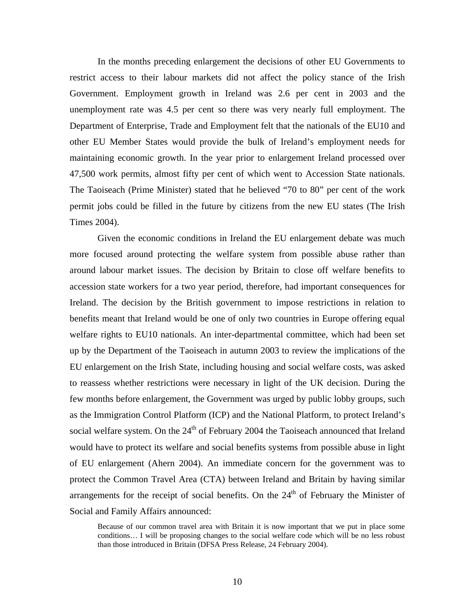In the months preceding enlargement the decisions of other EU Governments to restrict access to their labour markets did not affect the policy stance of the Irish Government. Employment growth in Ireland was 2.6 per cent in 2003 and the unemployment rate was 4.5 per cent so there was very nearly full employment. The Department of Enterprise, Trade and Employment felt that the nationals of the EU10 and other EU Member States would provide the bulk of Ireland's employment needs for maintaining economic growth. In the year prior to enlargement Ireland processed over 47,500 work permits, almost fifty per cent of which went to Accession State nationals. The Taoiseach (Prime Minister) stated that he believed "70 to 80" per cent of the work permit jobs could be filled in the future by citizens from the new EU states (The Irish Times 2004).

Given the economic conditions in Ireland the EU enlargement debate was much more focused around protecting the welfare system from possible abuse rather than around labour market issues. The decision by Britain to close off welfare benefits to accession state workers for a two year period, therefore, had important consequences for Ireland. The decision by the British government to impose restrictions in relation to benefits meant that Ireland would be one of only two countries in Europe offering equal welfare rights to EU10 nationals. An inter-departmental committee, which had been set up by the Department of the Taoiseach in autumn 2003 to review the implications of the EU enlargement on the Irish State, including housing and social welfare costs, was asked to reassess whether restrictions were necessary in light of the UK decision. During the few months before enlargement, the Government was urged by public lobby groups, such as the Immigration Control Platform (ICP) and the National Platform, to protect Ireland's social welfare system. On the  $24<sup>th</sup>$  of February 2004 the Taoiseach announced that Ireland would have to protect its welfare and social benefits systems from possible abuse in light of EU enlargement (Ahern 2004). An immediate concern for the government was to protect the Common Travel Area (CTA) between Ireland and Britain by having similar arrangements for the receipt of social benefits. On the  $24<sup>th</sup>$  of February the Minister of Social and Family Affairs announced:

Because of our common travel area with Britain it is now important that we put in place some conditions… I will be proposing changes to the social welfare code which will be no less robust than those introduced in Britain (DFSA Press Release, 24 February 2004).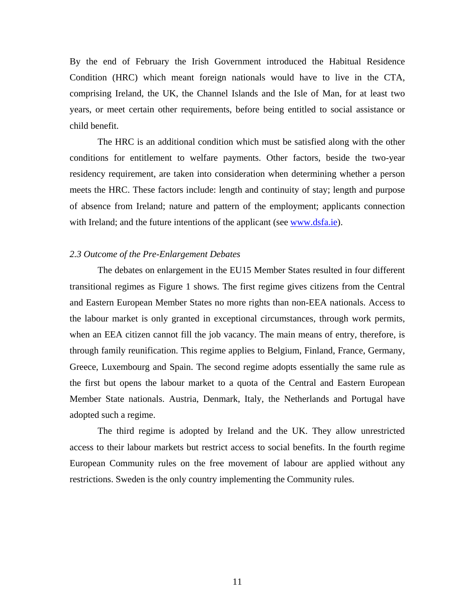By the end of February the Irish Government introduced the Habitual Residence Condition (HRC) which meant foreign nationals would have to live in the CTA, comprising Ireland, the UK, the Channel Islands and the Isle of Man, for at least two years, or meet certain other requirements, before being entitled to social assistance or child benefit.

The HRC is an additional condition which must be satisfied along with the other conditions for entitlement to welfare payments. Other factors, beside the two-year residency requirement, are taken into consideration when determining whether a person meets the HRC. These factors include: length and continuity of stay; length and purpose of absence from Ireland; nature and pattern of the employment; applicants connection with Ireland; and the future intentions of the applicant (see [www.dsfa.ie](http://www.dsfa.ie/)).

### *2.3 Outcome of the Pre-Enlargement Debates*

The debates on enlargement in the EU15 Member States resulted in four different transitional regimes as Figure 1 shows. The first regime gives citizens from the Central and Eastern European Member States no more rights than non-EEA nationals. Access to the labour market is only granted in exceptional circumstances, through work permits, when an EEA citizen cannot fill the job vacancy. The main means of entry, therefore, is through family reunification. This regime applies to Belgium, Finland, France, Germany, Greece, Luxembourg and Spain. The second regime adopts essentially the same rule as the first but opens the labour market to a quota of the Central and Eastern European Member State nationals. Austria, Denmark, Italy, the Netherlands and Portugal have adopted such a regime.

The third regime is adopted by Ireland and the UK. They allow unrestricted access to their labour markets but restrict access to social benefits. In the fourth regime European Community rules on the free movement of labour are applied without any restrictions. Sweden is the only country implementing the Community rules.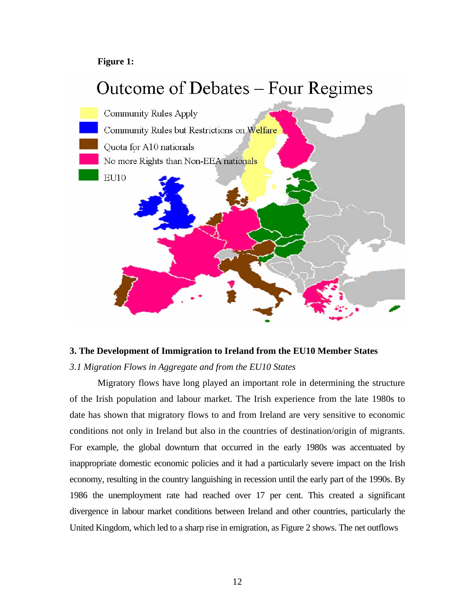## **Figure 1:**



## **3. The Development of Immigration to Ireland from the EU10 Member States**

## *3.1 Migration Flows in Aggregate and from the EU10 States*

Migratory flows have long played an important role in determining the structure of the Irish population and labour market. The Irish experience from the late 1980s to date has shown that migratory flows to and from Ireland are very sensitive to economic conditions not only in Ireland but also in the countries of destination/origin of migrants. For example, the global downturn that occurred in the early 1980s was accentuated by inappropriate domestic economic policies and it had a particularly severe impact on the Irish economy, resulting in the country languishing in recession until the early part of the 1990s. By 1986 the unemployment rate had reached over 17 per cent. This created a significant divergence in labour market conditions between Ireland and other countries, particularly the United Kingdom, which led to a sharp rise in emigration, as Figure 2 shows. The net outflows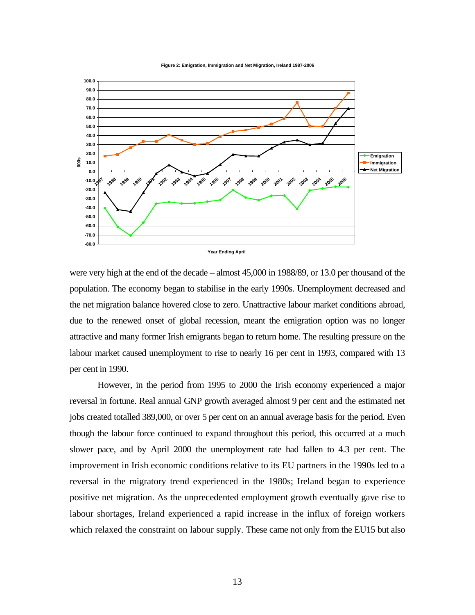



were very high at the end of the decade – almost 45,000 in 1988/89, or 13.0 per thousand of the population. The economy began to stabilise in the early 1990s. Unemployment decreased and the net migration balance hovered close to zero. Unattractive labour market conditions abroad, due to the renewed onset of global recession, meant the emigration option was no longer attractive and many former Irish emigrants began to return home. The resulting pressure on the labour market caused unemployment to rise to nearly 16 per cent in 1993, compared with 13 per cent in 1990.

However, in the period from 1995 to 2000 the Irish economy experienced a major reversal in fortune. Real annual GNP growth averaged almost 9 per cent and the estimated net jobs created totalled 389,000, or over 5 per cent on an annual average basis for the period. Even though the labour force continued to expand throughout this period, this occurred at a much slower pace, and by April 2000 the unemployment rate had fallen to 4.3 per cent. The improvement in Irish economic conditions relative to its EU partners in the 1990s led to a reversal in the migratory trend experienced in the 1980s; Ireland began to experience positive net migration. As the unprecedented employment growth eventually gave rise to labour shortages, Ireland experienced a rapid increase in the influx of foreign workers which relaxed the constraint on labour supply. These came not only from the EU15 but also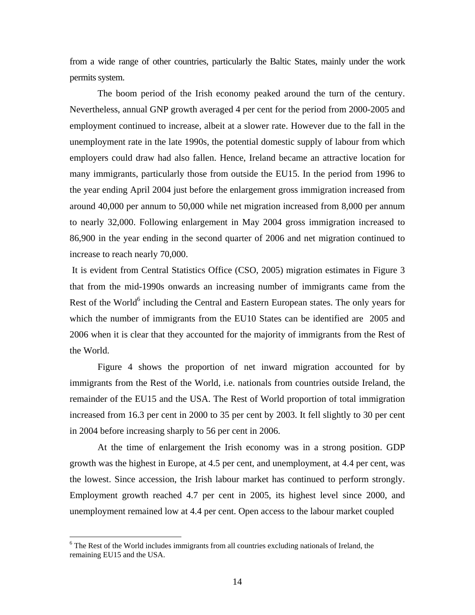from a wide range of other countries, particularly the Baltic States, mainly under the work permits system.

The boom period of the Irish economy peaked around the turn of the century. Nevertheless, annual GNP growth averaged 4 per cent for the period from 2000-2005 and employment continued to increase, albeit at a slower rate. However due to the fall in the unemployment rate in the late 1990s, the potential domestic supply of labour from which employers could draw had also fallen. Hence, Ireland became an attractive location for many immigrants, particularly those from outside the EU15. In the period from 1996 to the year ending April 2004 just before the enlargement gross immigration increased from around 40,000 per annum to 50,000 while net migration increased from 8,000 per annum to nearly 32,000. Following enlargement in May 2004 gross immigration increased to 86,900 in the year ending in the second quarter of 2006 and net migration continued to increase to reach nearly 70,000.

It is evident from Central Statistics Office (CSO, 2005) migration estimates in Figure 3 that from the mid-1990s onwards an increasing number of immigrants came from the Rest of the World<sup>[6](#page-14-0)</sup> including the Central and Eastern European states. The only years for which the number of immigrants from the EU10 States can be identified are 2005 and 2006 when it is clear that they accounted for the majority of immigrants from the Rest of the World.

Figure 4 shows the proportion of net inward migration accounted for by immigrants from the Rest of the World, i.e. nationals from countries outside Ireland, the remainder of the EU15 and the USA. The Rest of World proportion of total immigration increased from 16.3 per cent in 2000 to 35 per cent by 2003. It fell slightly to 30 per cent in 2004 before increasing sharply to 56 per cent in 2006.

At the time of enlargement the Irish economy was in a strong position. GDP growth was the highest in Europe, at 4.5 per cent, and unemployment, at 4.4 per cent, was the lowest. Since accession, the Irish labour market has continued to perform strongly. Employment growth reached 4.7 per cent in 2005, its highest level since 2000, and unemployment remained low at 4.4 per cent. Open access to the labour market coupled

 $\overline{a}$ 

<span id="page-14-0"></span><sup>&</sup>lt;sup>6</sup> The Rest of the World includes immigrants from all countries excluding nationals of Ireland, the remaining EU15 and the USA.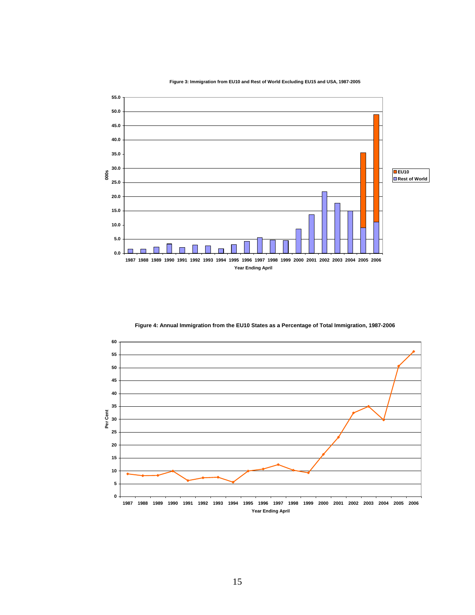**Figure 3: Immigration from EU10 and Rest of World Excluding EU15 and USA, 1987-2005**



**Figure 4: Annual Immigration from the EU10 States as a Percentage of Total Immigration, 1987-2006** 

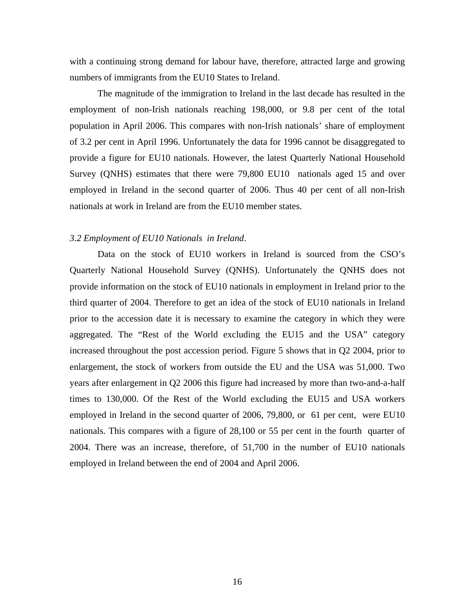with a continuing strong demand for labour have, therefore, attracted large and growing numbers of immigrants from the EU10 States to Ireland.

The magnitude of the immigration to Ireland in the last decade has resulted in the employment of non-Irish nationals reaching 198,000, or 9.8 per cent of the total population in April 2006. This compares with non-Irish nationals' share of employment of 3.2 per cent in April 1996. Unfortunately the data for 1996 cannot be disaggregated to provide a figure for EU10 nationals. However, the latest Quarterly National Household Survey (QNHS) estimates that there were 79,800 EU10 nationals aged 15 and over employed in Ireland in the second quarter of 2006. Thus 40 per cent of all non-Irish nationals at work in Ireland are from the EU10 member states.

### *3.2 Employment of EU10 Nationals in Ireland*.

Data on the stock of EU10 workers in Ireland is sourced from the CSO's Quarterly National Household Survey (QNHS). Unfortunately the QNHS does not provide information on the stock of EU10 nationals in employment in Ireland prior to the third quarter of 2004. Therefore to get an idea of the stock of EU10 nationals in Ireland prior to the accession date it is necessary to examine the category in which they were aggregated. The "Rest of the World excluding the EU15 and the USA" category increased throughout the post accession period. Figure 5 shows that in Q2 2004, prior to enlargement, the stock of workers from outside the EU and the USA was 51,000. Two years after enlargement in Q2 2006 this figure had increased by more than two-and-a-half times to 130,000. Of the Rest of the World excluding the EU15 and USA workers employed in Ireland in the second quarter of 2006, 79,800, or 61 per cent, were EU10 nationals. This compares with a figure of 28,100 or 55 per cent in the fourth quarter of 2004. There was an increase, therefore, of 51,700 in the number of EU10 nationals employed in Ireland between the end of 2004 and April 2006.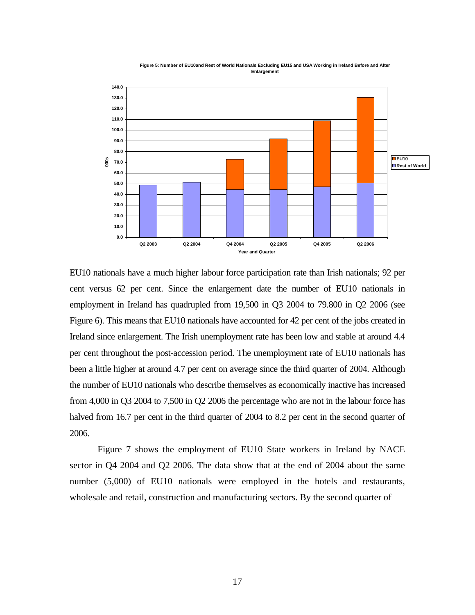



EU10 nationals have a much higher labour force participation rate than Irish nationals; 92 per cent versus 62 per cent. Since the enlargement date the number of EU10 nationals in employment in Ireland has quadrupled from 19,500 in Q3 2004 to 79.800 in Q2 2006 (see Figure 6). This means that EU10 nationals have accounted for 42 per cent of the jobs created in Ireland since enlargement. The Irish unemployment rate has been low and stable at around 4.4 per cent throughout the post-accession period. The unemployment rate of EU10 nationals has been a little higher at around 4.7 per cent on average since the third quarter of 2004. Although the number of EU10 nationals who describe themselves as economically inactive has increased from 4,000 in Q3 2004 to 7,500 in Q2 2006 the percentage who are not in the labour force has halved from 16.7 per cent in the third quarter of 2004 to 8.2 per cent in the second quarter of 2006.

Figure 7 shows the employment of EU10 State workers in Ireland by NACE sector in Q4 2004 and Q2 2006. The data show that at the end of 2004 about the same number (5,000) of EU10 nationals were employed in the hotels and restaurants, wholesale and retail, construction and manufacturing sectors. By the second quarter of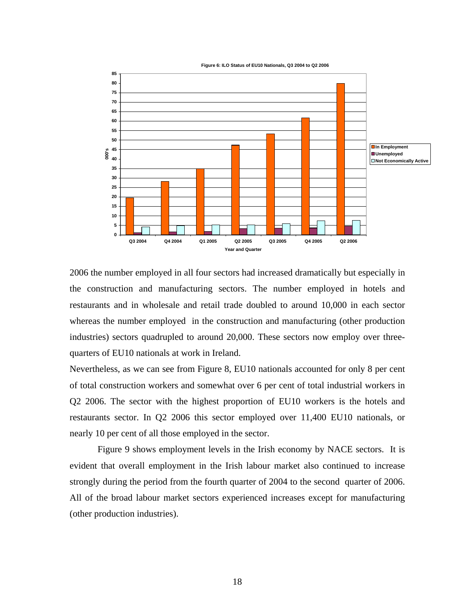

**Figure 6: ILO Status of EU10 Nationals, Q3 2004 to Q2 2006**

2006 the number employed in all four sectors had increased dramatically but especially in the construction and manufacturing sectors. The number employed in hotels and restaurants and in wholesale and retail trade doubled to around 10,000 in each sector whereas the number employed in the construction and manufacturing (other production industries) sectors quadrupled to around 20,000. These sectors now employ over threequarters of EU10 nationals at work in Ireland.

Nevertheless, as we can see from Figure 8, EU10 nationals accounted for only 8 per cent of total construction workers and somewhat over 6 per cent of total industrial workers in Q2 2006. The sector with the highest proportion of EU10 workers is the hotels and restaurants sector. In Q2 2006 this sector employed over 11,400 EU10 nationals, or nearly 10 per cent of all those employed in the sector.

Figure 9 shows employment levels in the Irish economy by NACE sectors. It is evident that overall employment in the Irish labour market also continued to increase strongly during the period from the fourth quarter of 2004 to the second quarter of 2006. All of the broad labour market sectors experienced increases except for manufacturing (other production industries).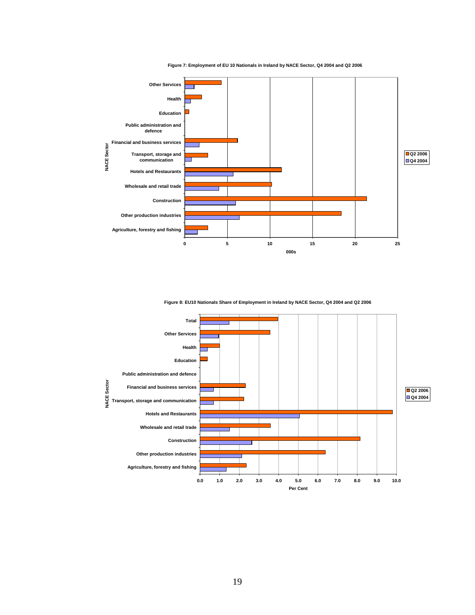

**Figure 7: Employment of EU 10 Nationals in Ireland by NACE Sector, Q4 2004 and Q2 2006**

**Figure 8: EU10 Nationals Share of Employment in Ireland by NACE Sector, Q4 2004 and Q2 2006**

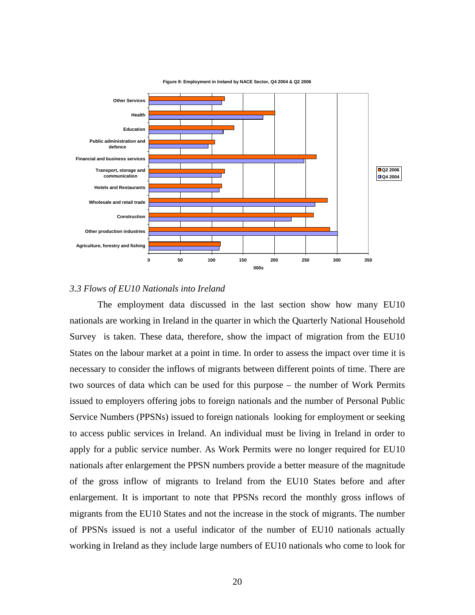

## *3.3 Flows of EU10 Nationals into Ireland*

The employment data discussed in the last section show how many EU10 nationals are working in Ireland in the quarter in which the Quarterly National Household Survey is taken. These data, therefore, show the impact of migration from the EU10 States on the labour market at a point in time. In order to assess the impact over time it is necessary to consider the inflows of migrants between different points of time. There are two sources of data which can be used for this purpose – the number of Work Permits issued to employers offering jobs to foreign nationals and the number of Personal Public Service Numbers (PPSNs) issued to foreign nationals looking for employment or seeking to access public services in Ireland. An individual must be living in Ireland in order to apply for a public service number. As Work Permits were no longer required for EU10 nationals after enlargement the PPSN numbers provide a better measure of the magnitude of the gross inflow of migrants to Ireland from the EU10 States before and after enlargement. It is important to note that PPSNs record the monthly gross inflows of migrants from the EU10 States and not the increase in the stock of migrants. The number of PPSNs issued is not a useful indicator of the number of EU10 nationals actually working in Ireland as they include large numbers of EU10 nationals who come to look for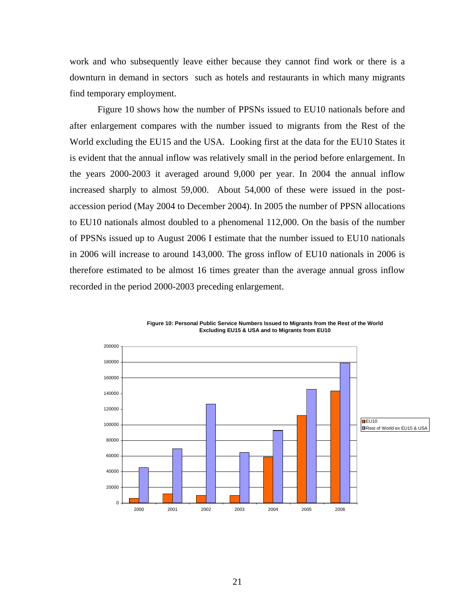work and who subsequently leave either because they cannot find work or there is a downturn in demand in sectors such as hotels and restaurants in which many migrants find temporary employment.

Figure 10 shows how the number of PPSNs issued to EU10 nationals before and after enlargement compares with the number issued to migrants from the Rest of the World excluding the EU15 and the USA. Looking first at the data for the EU10 States it is evident that the annual inflow was relatively small in the period before enlargement. In the years 2000-2003 it averaged around 9,000 per year. In 2004 the annual inflow increased sharply to almost 59,000. About 54,000 of these were issued in the postaccession period (May 2004 to December 2004). In 2005 the number of PPSN allocations to EU10 nationals almost doubled to a phenomenal 112,000. On the basis of the number of PPSNs issued up to August 2006 I estimate that the number issued to EU10 nationals in 2006 will increase to around 143,000. The gross inflow of EU10 nationals in 2006 is therefore estimated to be almost 16 times greater than the average annual gross inflow recorded in the period 2000-2003 preceding enlargement.



**Figure 10: Personal Public Service Numbers Issued to Migrants from the Rest of the World Excluding EU15 & USA and to Migrants from EU10**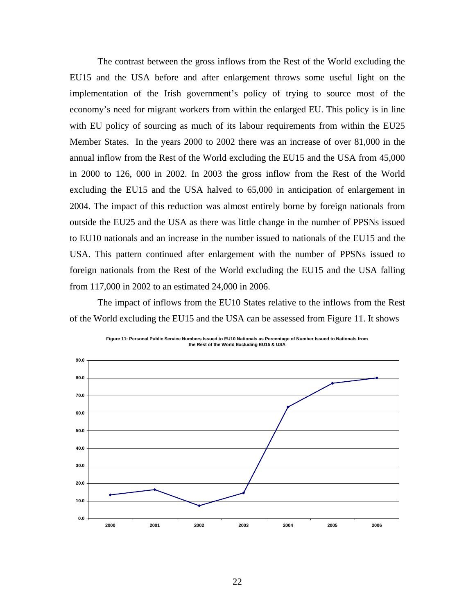The contrast between the gross inflows from the Rest of the World excluding the EU15 and the USA before and after enlargement throws some useful light on the implementation of the Irish government's policy of trying to source most of the economy's need for migrant workers from within the enlarged EU. This policy is in line with EU policy of sourcing as much of its labour requirements from within the EU25 Member States. In the years 2000 to 2002 there was an increase of over 81,000 in the annual inflow from the Rest of the World excluding the EU15 and the USA from 45,000 in 2000 to 126, 000 in 2002. In 2003 the gross inflow from the Rest of the World excluding the EU15 and the USA halved to 65,000 in anticipation of enlargement in 2004. The impact of this reduction was almost entirely borne by foreign nationals from outside the EU25 and the USA as there was little change in the number of PPSNs issued to EU10 nationals and an increase in the number issued to nationals of the EU15 and the USA. This pattern continued after enlargement with the number of PPSNs issued to foreign nationals from the Rest of the World excluding the EU15 and the USA falling from 117,000 in 2002 to an estimated 24,000 in 2006.

The impact of inflows from the EU10 States relative to the inflows from the Rest of the World excluding the EU15 and the USA can be assessed from Figure 11. It shows



**Figure 11: Personal Public Service Numbers Issued to EU10 Nationals as Percentage of Number Issued to Nationals from the Rest of the World Excluding EU15 & USA**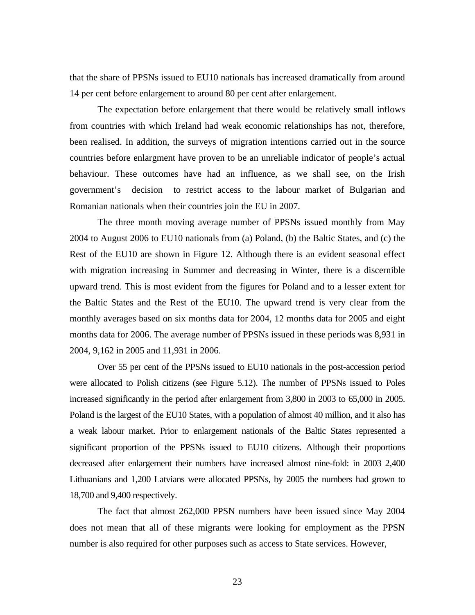that the share of PPSNs issued to EU10 nationals has increased dramatically from around 14 per cent before enlargement to around 80 per cent after enlargement.

The expectation before enlargement that there would be relatively small inflows from countries with which Ireland had weak economic relationships has not, therefore, been realised. In addition, the surveys of migration intentions carried out in the source countries before enlargment have proven to be an unreliable indicator of people's actual behaviour. These outcomes have had an influence, as we shall see, on the Irish government's decision to restrict access to the labour market of Bulgarian and Romanian nationals when their countries join the EU in 2007.

The three month moving average number of PPSNs issued monthly from May 2004 to August 2006 to EU10 nationals from (a) Poland, (b) the Baltic States, and (c) the Rest of the EU10 are shown in Figure 12. Although there is an evident seasonal effect with migration increasing in Summer and decreasing in Winter, there is a discernible upward trend. This is most evident from the figures for Poland and to a lesser extent for the Baltic States and the Rest of the EU10. The upward trend is very clear from the monthly averages based on six months data for 2004, 12 months data for 2005 and eight months data for 2006. The average number of PPSNs issued in these periods was 8,931 in 2004, 9,162 in 2005 and 11,931 in 2006.

Over 55 per cent of the PPSNs issued to EU10 nationals in the post-accession period were allocated to Polish citizens (see Figure 5.12). The number of PPSNs issued to Poles increased significantly in the period after enlargement from 3,800 in 2003 to 65,000 in 2005. Poland is the largest of the EU10 States, with a population of almost 40 million, and it also has a weak labour market. Prior to enlargement nationals of the Baltic States represented a significant proportion of the PPSNs issued to EU10 citizens. Although their proportions decreased after enlargement their numbers have increased almost nine-fold: in 2003 2,400 Lithuanians and 1,200 Latvians were allocated PPSNs, by 2005 the numbers had grown to 18,700 and 9,400 respectively.

The fact that almost 262,000 PPSN numbers have been issued since May 2004 does not mean that all of these migrants were looking for employment as the PPSN number is also required for other purposes such as access to State services. However,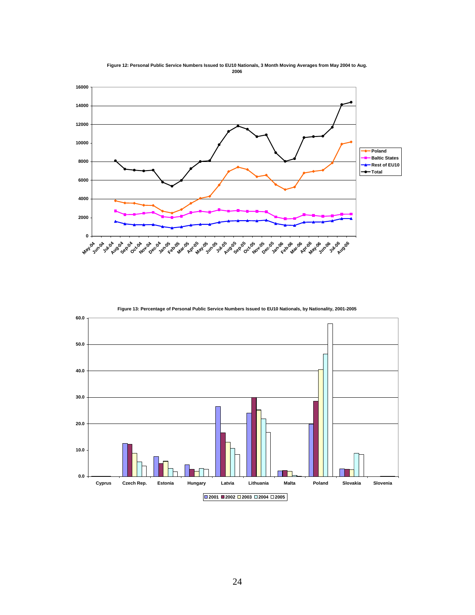

**Figure 12: Personal Public Service Numbers Issued to EU10 Nationals, 3 Month Moving Averages from May 2004 to Aug. 2006**



**Figure 13: Percentage of Personal Public Service Numbers Issued to EU10 Nationals, by Nationality, 2001-2005**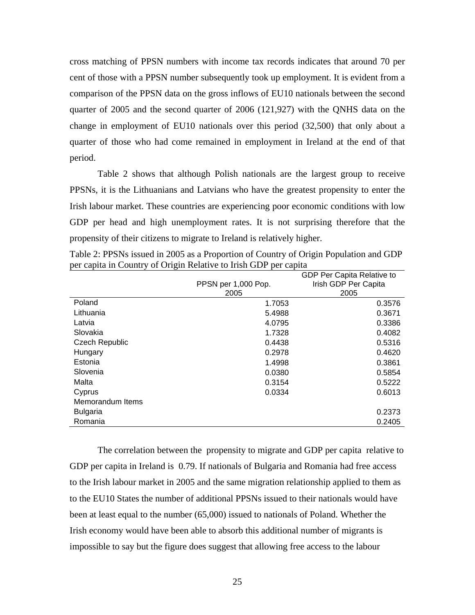cross matching of PPSN numbers with income tax records indicates that around 70 per cent of those with a PPSN number subsequently took up employment. It is evident from a comparison of the PPSN data on the gross inflows of EU10 nationals between the second quarter of 2005 and the second quarter of 2006 (121,927) with the QNHS data on the change in employment of EU10 nationals over this period (32,500) that only about a quarter of those who had come remained in employment in Ireland at the end of that period.

Table 2 shows that although Polish nationals are the largest group to receive PPSNs, it is the Lithuanians and Latvians who have the greatest propensity to enter the Irish labour market. These countries are experiencing poor economic conditions with low GDP per head and high unemployment rates. It is not surprising therefore that the propensity of their citizens to migrate to Ireland is relatively higher.

|                       | PPSN per 1,000 Pop.<br>2005 | GDP Per Capita Relative to<br>Irish GDP Per Capita<br>2005 |
|-----------------------|-----------------------------|------------------------------------------------------------|
| Poland                | 1.7053                      | 0.3576                                                     |
| Lithuania             | 5.4988                      | 0.3671                                                     |
| Latvia                | 4.0795                      | 0.3386                                                     |
| Slovakia              | 1.7328                      | 0.4082                                                     |
| <b>Czech Republic</b> | 0.4438                      | 0.5316                                                     |
| Hungary               | 0.2978                      | 0.4620                                                     |
| Estonia               | 1.4998                      | 0.3861                                                     |
| Slovenia              | 0.0380                      | 0.5854                                                     |
| Malta                 | 0.3154                      | 0.5222                                                     |
| Cyprus                | 0.0334                      | 0.6013                                                     |
| Memorandum Items      |                             |                                                            |
| <b>Bulgaria</b>       |                             | 0.2373                                                     |
| Romania               |                             | 0.2405                                                     |

Table 2: PPSNs issued in 2005 as a Proportion of Country of Origin Population and GDP per capita in Country of Origin Relative to Irish GDP per capita

The correlation between the propensity to migrate and GDP per capita relative to GDP per capita in Ireland is 0.79. If nationals of Bulgaria and Romania had free access to the Irish labour market in 2005 and the same migration relationship applied to them as to the EU10 States the number of additional PPSNs issued to their nationals would have been at least equal to the number (65,000) issued to nationals of Poland. Whether the Irish economy would have been able to absorb this additional number of migrants is impossible to say but the figure does suggest that allowing free access to the labour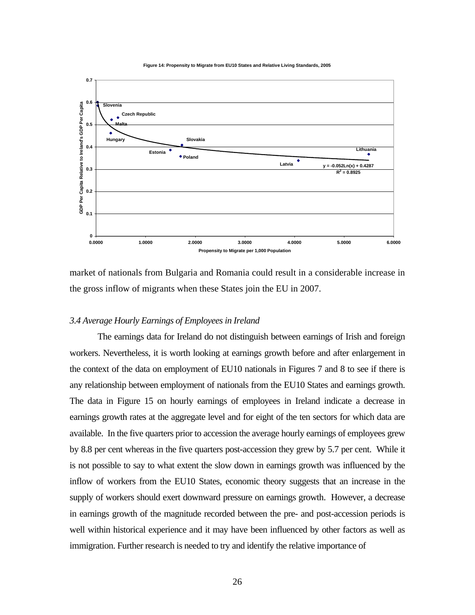**Figure 14: Propensity to Migrate from EU10 States and Relative Living Standards, 2005**



market of nationals from Bulgaria and Romania could result in a considerable increase in the gross inflow of migrants when these States join the EU in 2007.

#### *3.4 Average Hourly Earnings of Employees in Ireland*

The earnings data for Ireland do not distinguish between earnings of Irish and foreign workers. Nevertheless, it is worth looking at earnings growth before and after enlargement in the context of the data on employment of EU10 nationals in Figures 7 and 8 to see if there is any relationship between employment of nationals from the EU10 States and earnings growth. The data in Figure 15 on hourly earnings of employees in Ireland indicate a decrease in earnings growth rates at the aggregate level and for eight of the ten sectors for which data are available. In the five quarters prior to accession the average hourly earnings of employees grew by 8.8 per cent whereas in the five quarters post-accession they grew by 5.7 per cent. While it is not possible to say to what extent the slow down in earnings growth was influenced by the inflow of workers from the EU10 States, economic theory suggests that an increase in the supply of workers should exert downward pressure on earnings growth. However, a decrease in earnings growth of the magnitude recorded between the pre- and post-accession periods is well within historical experience and it may have been influenced by other factors as well as immigration. Further research is needed to try and identify the relative importance of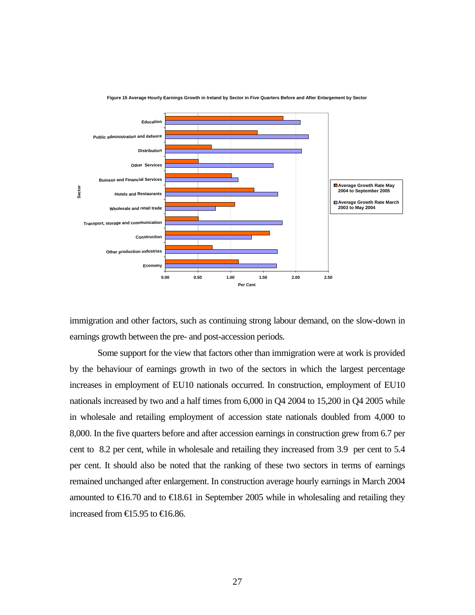

**Figure 15 Average Hourly Earnings Growth in Ireland by Sector in Five Quarters Before and After Enlargement by Sector**

immigration and other factors, such as continuing strong labour demand, on the slow-down in earnings growth between the pre- and post-accession periods.

Some support for the view that factors other than immigration were at work is provided by the behaviour of earnings growth in two of the sectors in which the largest percentage increases in employment of EU10 nationals occurred. In construction, employment of EU10 nationals increased by two and a half times from 6,000 in Q4 2004 to 15,200 in Q4 2005 while in wholesale and retailing employment of accession state nationals doubled from 4,000 to 8,000. In the five quarters before and after accession earnings in construction grew from 6.7 per cent to 8.2 per cent, while in wholesale and retailing they increased from 3.9 per cent to 5.4 per cent. It should also be noted that the ranking of these two sectors in terms of earnings remained unchanged after enlargement. In construction average hourly earnings in March 2004 amounted to  $\text{€16.70}$  and to  $\text{€18.61}$  in September 2005 while in wholesaling and retailing they increased from  $\text{ } \infty 5.95$  to  $\text{ } \infty 6.86$ .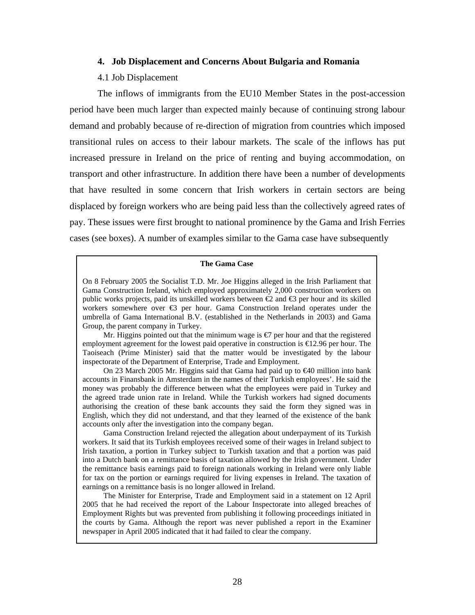#### **4. Job Displacement and Concerns About Bulgaria and Romania**

### 4.1 Job Displacement

The inflows of immigrants from the EU10 Member States in the post-accession period have been much larger than expected mainly because of continuing strong labour demand and probably because of re-direction of migration from countries which imposed transitional rules on access to their labour markets. The scale of the inflows has put increased pressure in Ireland on the price of renting and buying accommodation, on transport and other infrastructure. In addition there have been a number of developments that have resulted in some concern that Irish workers in certain sectors are being displaced by foreign workers who are being paid less than the collectively agreed rates of pay. These issues were first brought to national prominence by the Gama and Irish Ferries cases (see boxes). A number of examples similar to the Gama case have subsequently

#### **The Gama Case**

On 8 February 2005 the Socialist T.D. Mr. Joe Higgins alleged in the Irish Parliament that Gama Construction Ireland, which employed approximately 2,000 construction workers on public works projects, paid its unskilled workers between  $\mathcal{L}$  and  $\mathcal{L}$  per hour and its skilled workers somewhere over €3 per hour. Gama Construction Ireland operates under the umbrella of Gama International B.V. (established in the Netherlands in 2003) and Gama Group, the parent company in Turkey.

Mr. Higgins pointed out that the minimum wage is  $\epsilon$  per hour and that the registered employment agreement for the lowest paid operative in construction is  $\epsilon$  2.96 per hour. The Taoiseach (Prime Minister) said that the matter would be investigated by the labour inspectorate of the Department of Enterprise, Trade and Employment.

On 23 March 2005 Mr. Higgins said that Gama had paid up to €40 million into bank accounts in Finansbank in Amsterdam in the names of their Turkish employees'. He said the money was probably the difference between what the employees were paid in Turkey and the agreed trade union rate in Ireland. While the Turkish workers had signed documents authorising the creation of these bank accounts they said the form they signed was in English, which they did not understand, and that they learned of the existence of the bank accounts only after the investigation into the company began.

Gama Construction Ireland rejected the allegation about underpayment of its Turkish workers. It said that its Turkish employees received some of their wages in Ireland subject to Irish taxation, a portion in Turkey subject to Turkish taxation and that a portion was paid into a Dutch bank on a remittance basis of taxation allowed by the Irish government. Under the remittance basis earnings paid to foreign nationals working in Ireland were only liable for tax on the portion or earnings required for living expenses in Ireland. The taxation of earnings on a remittance basis is no longer allowed in Ireland.

The Minister for Enterprise, Trade and Employment said in a statement on 12 April 2005 that he had received the report of the Labour Inspectorate into alleged breaches of Employment Rights but was prevented from publishing it following proceedings initiated in the courts by Gama. Although the report was never published a report in the Examiner newspaper in April 2005 indicated that it had failed to clear the company.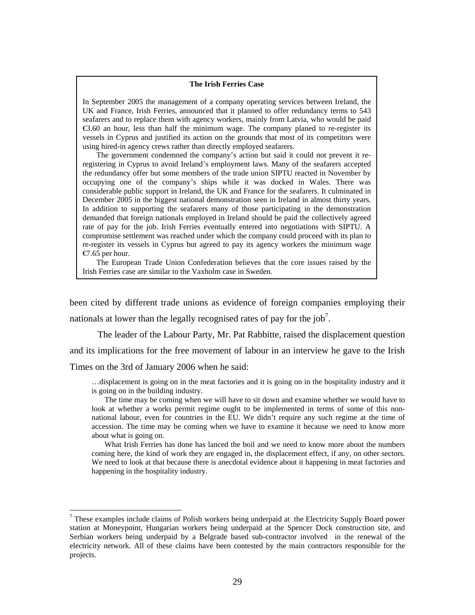#### **The Irish Ferries Case**

In September 2005 the management of a company operating services between Ireland, the UK and France, Irish Ferries, announced that it planned to offer redundancy terms to 543 seafarers and to replace them with agency workers, mainly from Latvia, who would be paid €3.60 an hour, less than half the minimum wage. The company planed to re-register its vessels in Cyprus and justified its action on the grounds that most of its competitors were using hired-in agency crews rather than directly employed seafarers.

The government condemned the company's action but said it could not prevent it reregistering in Cyprus to avoid Ireland's employment laws. Many of the seafarers accepted the redundancy offer but some members of the trade union SIPTU reacted in November by occupying one of the company's ships while it was docked in Wales. There was considerable public support in Ireland, the UK and France for the seafarers. It culminated in December 2005 in the biggest national demonstration seen in Ireland in almost thirty years. In addition to supporting the seafarers many of those participating in the demonstration demanded that foreign nationals employed in Ireland should be paid the collectively agreed rate of pay for the job. Irish Ferries eventually entered into negotiations with SIPTU. A compromise settlement was reached under which the company could proceed with its plan to re-register its vessels in Cyprus but agreed to pay its agency workers the minimum wage €7.65 per hour.

The European Trade Union Confederation believes that the core issues raised by the Irish Ferries case are similar to the Vaxholm case in Sweden.

been cited by different trade unions as evidence of foreign companies employing their nationals at lower than the legally recognised rates of pay for the job<sup>7</sup>.

The leader of the Labour Party, Mr. Pat Rabbitte, raised the displacement question

and its implications for the free movement of labour in an interview he gave to the Irish

Times on the 3rd of January 2006 when he said:

 $\overline{a}$ 

…displacement is going on in the meat factories and it is going on in the hospitality industry and it is going on in the building industry.

The time may be coming when we will have to sit down and examine whether we would have to look at whether a works permit regime ought to be implemented in terms of some of this nonnational labour, even for countries in the EU. We didn't require any such regime at the time of accession. The time may be coming when we have to examine it because we need to know more about what is going on.

What Irish Ferries has done has lanced the boil and we need to know more about the numbers coming here, the kind of work they are engaged in, the displacement effect, if any, on other sectors. We need to look at that because there is anecdotal evidence about it happening in meat factories and happening in the hospitality industry.

<span id="page-29-0"></span> $7$  These examples include claims of Polish workers being underpaid at the Electricity Supply Board power station at Moneypoint, Hungarian workers being underpaid at the Spencer Dock construction site, and Serbian workers being underpaid by a Belgrade based sub-contractor involved in the renewal of the electricity network. All of these claims have been contested by the main contractors responsible for the projects.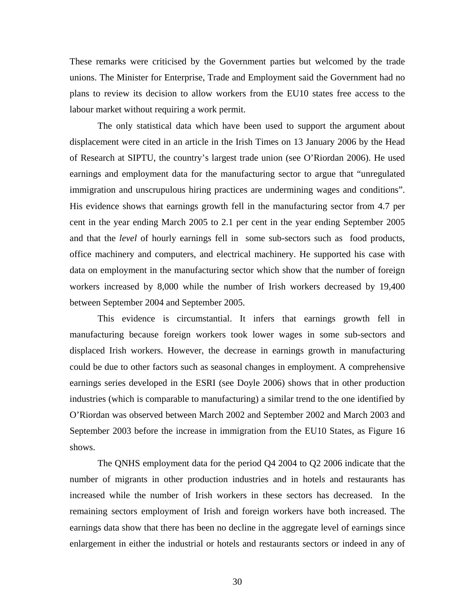These remarks were criticised by the Government parties but welcomed by the trade unions. The Minister for Enterprise, Trade and Employment said the Government had no plans to review its decision to allow workers from the EU10 states free access to the labour market without requiring a work permit.

The only statistical data which have been used to support the argument about displacement were cited in an article in the Irish Times on 13 January 2006 by the Head of Research at SIPTU, the country's largest trade union (see O'Riordan 2006). He used earnings and employment data for the manufacturing sector to argue that "unregulated immigration and unscrupulous hiring practices are undermining wages and conditions". His evidence shows that earnings growth fell in the manufacturing sector from 4.7 per cent in the year ending March 2005 to 2.1 per cent in the year ending September 2005 and that the *level* of hourly earnings fell in some sub-sectors such as food products, office machinery and computers, and electrical machinery. He supported his case with data on employment in the manufacturing sector which show that the number of foreign workers increased by 8,000 while the number of Irish workers decreased by 19,400 between September 2004 and September 2005.

This evidence is circumstantial. It infers that earnings growth fell in manufacturing because foreign workers took lower wages in some sub-sectors and displaced Irish workers. However, the decrease in earnings growth in manufacturing could be due to other factors such as seasonal changes in employment. A comprehensive earnings series developed in the ESRI (see Doyle 2006) shows that in other production industries (which is comparable to manufacturing) a similar trend to the one identified by O'Riordan was observed between March 2002 and September 2002 and March 2003 and September 2003 before the increase in immigration from the EU10 States, as Figure 16 shows.

The QNHS employment data for the period Q4 2004 to Q2 2006 indicate that the number of migrants in other production industries and in hotels and restaurants has increased while the number of Irish workers in these sectors has decreased. In the remaining sectors employment of Irish and foreign workers have both increased. The earnings data show that there has been no decline in the aggregate level of earnings since enlargement in either the industrial or hotels and restaurants sectors or indeed in any of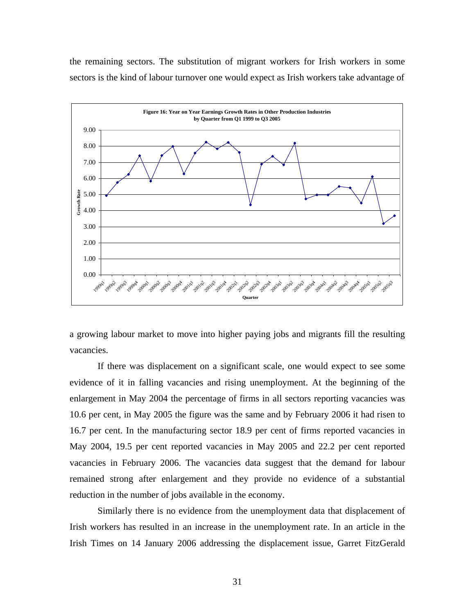the remaining sectors. The substitution of migrant workers for Irish workers in some sectors is the kind of labour turnover one would expect as Irish workers take advantage of



a growing labour market to move into higher paying jobs and migrants fill the resulting vacancies.

If there was displacement on a significant scale, one would expect to see some evidence of it in falling vacancies and rising unemployment. At the beginning of the enlargement in May 2004 the percentage of firms in all sectors reporting vacancies was 10.6 per cent, in May 2005 the figure was the same and by February 2006 it had risen to 16.7 per cent. In the manufacturing sector 18.9 per cent of firms reported vacancies in May 2004, 19.5 per cent reported vacancies in May 2005 and 22.2 per cent reported vacancies in February 2006. The vacancies data suggest that the demand for labour remained strong after enlargement and they provide no evidence of a substantial reduction in the number of jobs available in the economy.

Similarly there is no evidence from the unemployment data that displacement of Irish workers has resulted in an increase in the unemployment rate. In an article in the Irish Times on 14 January 2006 addressing the displacement issue, Garret FitzGerald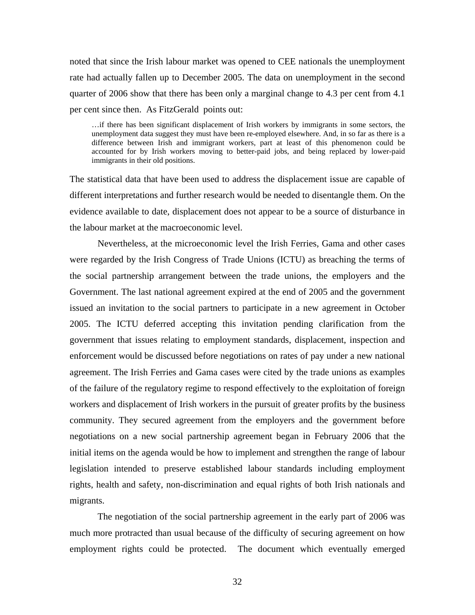noted that since the Irish labour market was opened to CEE nationals the unemployment rate had actually fallen up to December 2005. The data on unemployment in the second quarter of 2006 show that there has been only a marginal change to 4.3 per cent from 4.1 per cent since then. As FitzGerald points out:

…if there has been significant displacement of Irish workers by immigrants in some sectors, the unemployment data suggest they must have been re-employed elsewhere. And, in so far as there is a difference between Irish and immigrant workers, part at least of this phenomenon could be accounted for by Irish workers moving to better-paid jobs, and being replaced by lower-paid immigrants in their old positions.

The statistical data that have been used to address the displacement issue are capable of different interpretations and further research would be needed to disentangle them. On the evidence available to date, displacement does not appear to be a source of disturbance in the labour market at the macroeconomic level.

Nevertheless, at the microeconomic level the Irish Ferries, Gama and other cases were regarded by the Irish Congress of Trade Unions (ICTU) as breaching the terms of the social partnership arrangement between the trade unions, the employers and the Government. The last national agreement expired at the end of 2005 and the government issued an invitation to the social partners to participate in a new agreement in October 2005. The ICTU deferred accepting this invitation pending clarification from the government that issues relating to employment standards, displacement, inspection and enforcement would be discussed before negotiations on rates of pay under a new national agreement. The Irish Ferries and Gama cases were cited by the trade unions as examples of the failure of the regulatory regime to respond effectively to the exploitation of foreign workers and displacement of Irish workers in the pursuit of greater profits by the business community. They secured agreement from the employers and the government before negotiations on a new social partnership agreement began in February 2006 that the initial items on the agenda would be how to implement and strengthen the range of labour legislation intended to preserve established labour standards including employment rights, health and safety, non-discrimination and equal rights of both Irish nationals and migrants.

The negotiation of the social partnership agreement in the early part of 2006 was much more protracted than usual because of the difficulty of securing agreement on how employment rights could be protected. The document which eventually emerged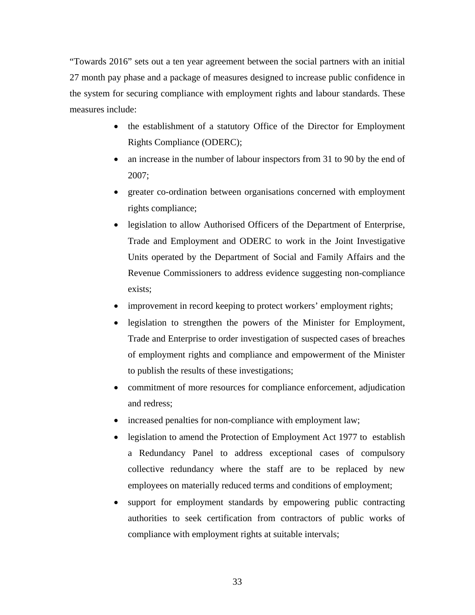"Towards 2016" sets out a ten year agreement between the social partners with an initial 27 month pay phase and a package of measures designed to increase public confidence in the system for securing compliance with employment rights and labour standards. These measures include:

- the establishment of a statutory Office of the Director for Employment Rights Compliance (ODERC);
- an increase in the number of labour inspectors from 31 to 90 by the end of 2007;
- greater co-ordination between organisations concerned with employment rights compliance;
- legislation to allow Authorised Officers of the Department of Enterprise, Trade and Employment and ODERC to work in the Joint Investigative Units operated by the Department of Social and Family Affairs and the Revenue Commissioners to address evidence suggesting non-compliance exists;
- improvement in record keeping to protect workers' employment rights;
- legislation to strengthen the powers of the Minister for Employment, Trade and Enterprise to order investigation of suspected cases of breaches of employment rights and compliance and empowerment of the Minister to publish the results of these investigations;
- commitment of more resources for compliance enforcement, adjudication and redress;
- increased penalties for non-compliance with employment law;
- legislation to amend the Protection of Employment Act 1977 to establish a Redundancy Panel to address exceptional cases of compulsory collective redundancy where the staff are to be replaced by new employees on materially reduced terms and conditions of employment;
- support for employment standards by empowering public contracting authorities to seek certification from contractors of public works of compliance with employment rights at suitable intervals;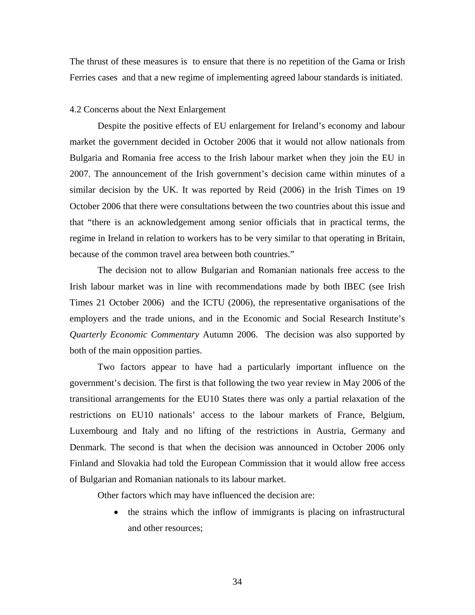The thrust of these measures is to ensure that there is no repetition of the Gama or Irish Ferries cases and that a new regime of implementing agreed labour standards is initiated.

#### 4.2 Concerns about the Next Enlargement

Despite the positive effects of EU enlargement for Ireland's economy and labour market the government decided in October 2006 that it would not allow nationals from Bulgaria and Romania free access to the Irish labour market when they join the EU in 2007. The announcement of the Irish government's decision came within minutes of a similar decision by the UK. It was reported by Reid (2006) in the Irish Times on 19 October 2006 that there were consultations between the two countries about this issue and that "there is an acknowledgement among senior officials that in practical terms, the regime in Ireland in relation to workers has to be very similar to that operating in Britain, because of the common travel area between both countries."

The decision not to allow Bulgarian and Romanian nationals free access to the Irish labour market was in line with recommendations made by both IBEC (see Irish Times 21 October 2006) and the ICTU (2006), the representative organisations of the employers and the trade unions, and in the Economic and Social Research Institute's *Quarterly Economic Commentary* Autumn 2006. The decision was also supported by both of the main opposition parties.

Two factors appear to have had a particularly important influence on the government's decision. The first is that following the two year review in May 2006 of the transitional arrangements for the EU10 States there was only a partial relaxation of the restrictions on EU10 nationals' access to the labour markets of France, Belgium, Luxembourg and Italy and no lifting of the restrictions in Austria, Germany and Denmark. The second is that when the decision was announced in October 2006 only Finland and Slovakia had told the European Commission that it would allow free access of Bulgarian and Romanian nationals to its labour market.

Other factors which may have influenced the decision are:

• the strains which the inflow of immigrants is placing on infrastructural and other resources;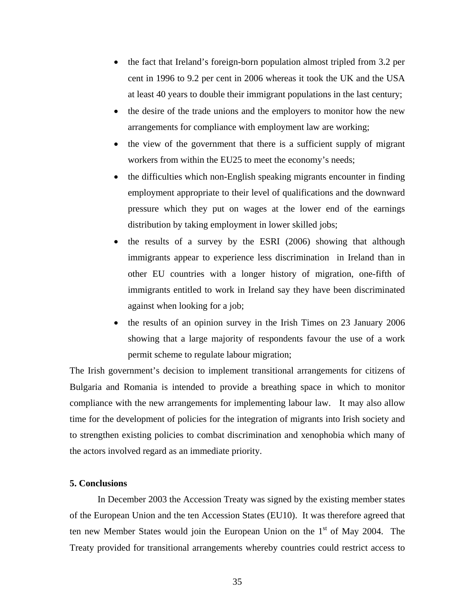- the fact that Ireland's foreign-born population almost tripled from 3.2 per cent in 1996 to 9.2 per cent in 2006 whereas it took the UK and the USA at least 40 years to double their immigrant populations in the last century;
- the desire of the trade unions and the employers to monitor how the new arrangements for compliance with employment law are working;
- the view of the government that there is a sufficient supply of migrant workers from within the EU25 to meet the economy's needs;
- the difficulties which non-English speaking migrants encounter in finding employment appropriate to their level of qualifications and the downward pressure which they put on wages at the lower end of the earnings distribution by taking employment in lower skilled jobs;
- the results of a survey by the ESRI (2006) showing that although immigrants appear to experience less discrimination in Ireland than in other EU countries with a longer history of migration, one-fifth of immigrants entitled to work in Ireland say they have been discriminated against when looking for a job;
- the results of an opinion survey in the Irish Times on 23 January 2006 showing that a large majority of respondents favour the use of a work permit scheme to regulate labour migration;

The Irish government's decision to implement transitional arrangements for citizens of Bulgaria and Romania is intended to provide a breathing space in which to monitor compliance with the new arrangements for implementing labour law. It may also allow time for the development of policies for the integration of migrants into Irish society and to strengthen existing policies to combat discrimination and xenophobia which many of the actors involved regard as an immediate priority.

### **5. Conclusions**

In December 2003 the Accession Treaty was signed by the existing member states of the European Union and the ten Accession States (EU10). It was therefore agreed that ten new Member States would join the European Union on the  $1<sup>st</sup>$  of May 2004. The Treaty provided for transitional arrangements whereby countries could restrict access to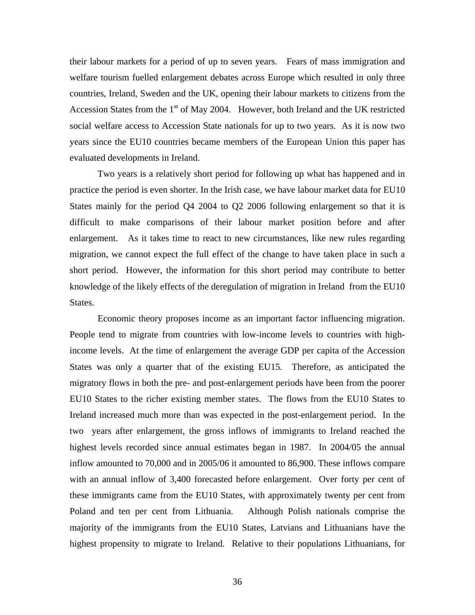their labour markets for a period of up to seven years. Fears of mass immigration and welfare tourism fuelled enlargement debates across Europe which resulted in only three countries, Ireland, Sweden and the UK, opening their labour markets to citizens from the Accession States from the  $1<sup>st</sup>$  of May 2004. However, both Ireland and the UK restricted social welfare access to Accession State nationals for up to two years. As it is now two years since the EU10 countries became members of the European Union this paper has evaluated developments in Ireland.

Two years is a relatively short period for following up what has happened and in practice the period is even shorter. In the Irish case, we have labour market data for EU10 States mainly for the period Q4 2004 to Q2 2006 following enlargement so that it is difficult to make comparisons of their labour market position before and after enlargement. As it takes time to react to new circumstances, like new rules regarding migration, we cannot expect the full effect of the change to have taken place in such a short period. However, the information for this short period may contribute to better knowledge of the likely effects of the deregulation of migration in Ireland from the EU10 States.

Economic theory proposes income as an important factor influencing migration. People tend to migrate from countries with low-income levels to countries with highincome levels. At the time of enlargement the average GDP per capita of the Accession States was only a quarter that of the existing EU15. Therefore, as anticipated the migratory flows in both the pre- and post-enlargement periods have been from the poorer EU10 States to the richer existing member states. The flows from the EU10 States to Ireland increased much more than was expected in the post-enlargement period. In the two years after enlargement, the gross inflows of immigrants to Ireland reached the highest levels recorded since annual estimates began in 1987. In 2004/05 the annual inflow amounted to 70,000 and in 2005/06 it amounted to 86,900. These inflows compare with an annual inflow of 3,400 forecasted before enlargement. Over forty per cent of these immigrants came from the EU10 States, with approximately twenty per cent from Poland and ten per cent from Lithuania. Although Polish nationals comprise the majority of the immigrants from the EU10 States, Latvians and Lithuanians have the highest propensity to migrate to Ireland. Relative to their populations Lithuanians, for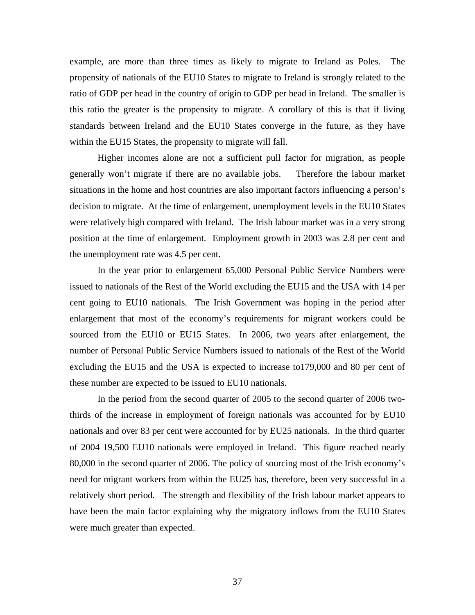example, are more than three times as likely to migrate to Ireland as Poles. The propensity of nationals of the EU10 States to migrate to Ireland is strongly related to the ratio of GDP per head in the country of origin to GDP per head in Ireland. The smaller is this ratio the greater is the propensity to migrate. A corollary of this is that if living standards between Ireland and the EU10 States converge in the future, as they have within the EU15 States, the propensity to migrate will fall.

Higher incomes alone are not a sufficient pull factor for migration, as people generally won't migrate if there are no available jobs. Therefore the labour market situations in the home and host countries are also important factors influencing a person's decision to migrate. At the time of enlargement, unemployment levels in the EU10 States were relatively high compared with Ireland. The Irish labour market was in a very strong position at the time of enlargement. Employment growth in 2003 was 2.8 per cent and the unemployment rate was 4.5 per cent.

In the year prior to enlargement 65,000 Personal Public Service Numbers were issued to nationals of the Rest of the World excluding the EU15 and the USA with 14 per cent going to EU10 nationals. The Irish Government was hoping in the period after enlargement that most of the economy's requirements for migrant workers could be sourced from the EU10 or EU15 States. In 2006, two years after enlargement, the number of Personal Public Service Numbers issued to nationals of the Rest of the World excluding the EU15 and the USA is expected to increase to179,000 and 80 per cent of these number are expected to be issued to EU10 nationals.

In the period from the second quarter of 2005 to the second quarter of 2006 twothirds of the increase in employment of foreign nationals was accounted for by EU10 nationals and over 83 per cent were accounted for by EU25 nationals. In the third quarter of 2004 19,500 EU10 nationals were employed in Ireland. This figure reached nearly 80,000 in the second quarter of 2006. The policy of sourcing most of the Irish economy's need for migrant workers from within the EU25 has, therefore, been very successful in a relatively short period. The strength and flexibility of the Irish labour market appears to have been the main factor explaining why the migratory inflows from the EU10 States were much greater than expected.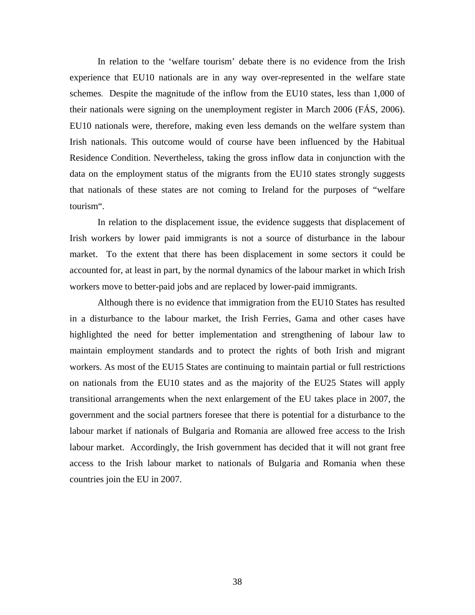In relation to the 'welfare tourism' debate there is no evidence from the Irish experience that EU10 nationals are in any way over-represented in the welfare state schemes. Despite the magnitude of the inflow from the EU10 states, less than 1,000 of their nationals were signing on the unemployment register in March 2006 (FÁS, 2006). EU10 nationals were, therefore, making even less demands on the welfare system than Irish nationals. This outcome would of course have been influenced by the Habitual Residence Condition. Nevertheless, taking the gross inflow data in conjunction with the data on the employment status of the migrants from the EU10 states strongly suggests that nationals of these states are not coming to Ireland for the purposes of "welfare tourism".

In relation to the displacement issue, the evidence suggests that displacement of Irish workers by lower paid immigrants is not a source of disturbance in the labour market. To the extent that there has been displacement in some sectors it could be accounted for, at least in part, by the normal dynamics of the labour market in which Irish workers move to better-paid jobs and are replaced by lower-paid immigrants.

Although there is no evidence that immigration from the EU10 States has resulted in a disturbance to the labour market, the Irish Ferries, Gama and other cases have highlighted the need for better implementation and strengthening of labour law to maintain employment standards and to protect the rights of both Irish and migrant workers. As most of the EU15 States are continuing to maintain partial or full restrictions on nationals from the EU10 states and as the majority of the EU25 States will apply transitional arrangements when the next enlargement of the EU takes place in 2007, the government and the social partners foresee that there is potential for a disturbance to the labour market if nationals of Bulgaria and Romania are allowed free access to the Irish labour market. Accordingly, the Irish government has decided that it will not grant free access to the Irish labour market to nationals of Bulgaria and Romania when these countries join the EU in 2007.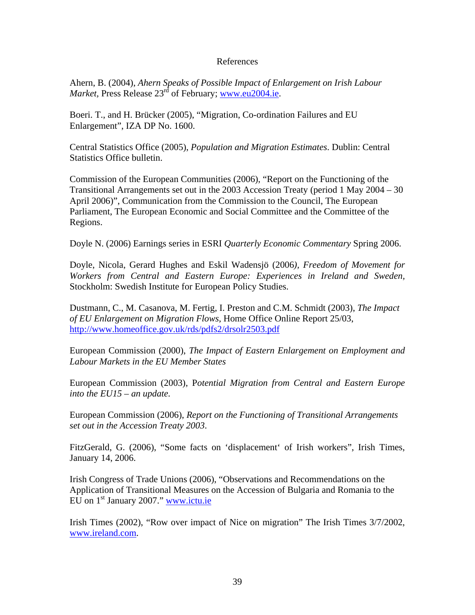## References

Ahern, B. (2004), *Ahern Speaks of Possible Impact of Enlargement on Irish Labour Market, Press Release 23<sup>rd</sup> of February; [www.eu2004.ie.](http://www.eu2004.ie/)* 

Boeri. T., and H. Brücker (2005), "Migration, Co-ordination Failures and EU Enlargement", IZA DP No. 1600.

Central Statistics Office (2005), *Population and Migration Estimates*. Dublin: Central Statistics Office bulletin.

Commission of the European Communities (2006), "Report on the Functioning of the Transitional Arrangements set out in the 2003 Accession Treaty (period 1 May 2004 – 30 April 2006)", Communication from the Commission to the Council, The European Parliament, The European Economic and Social Committee and the Committee of the Regions.

Doyle N. (2006) Earnings series in ESRI *Quarterly Economic Commentary* Spring 2006.

Doyle, Nicola, Gerard Hughes and Eskil Wadensjö (2006*), Freedom of Movement for Workers from Central and Eastern Europe: Experiences in Ireland and Sweden,* Stockholm: Swedish Institute for European Policy Studies.

Dustmann, C., M. Casanova, M. Fertig, I. Preston and C.M. Schmidt (2003), *The Impact of EU Enlargement on Migration Flows*, Home Office Online Report 25/03, <http://www.homeoffice.gov.uk/rds/pdfs2/drsolr2503.pdf>

European Commission (2000), *The Impact of Eastern Enlargement on Employment and Labour Markets in the EU Member States* 

European Commission (2003), P*otential Migration from Central and Eastern Europe into the EU15 – an update.* 

European Commission (2006), *Report on the Functioning of Transitional Arrangements set out in the Accession Treaty 2003*.

FitzGerald, G. (2006), "Some facts on 'displacement' of Irish workers", Irish Times, January 14, 2006.

Irish Congress of Trade Unions (2006), "Observations and Recommendations on the Application of Transitional Measures on the Accession of Bulgaria and Romania to the EU on  $1<sup>st</sup>$  January 2007." [www.ictu.ie](http://www.ictu.ie/)

Irish Times (2002), "Row over impact of Nice on migration" The Irish Times 3/7/2002, [www.ireland.com.](http://www.ireland.com/)